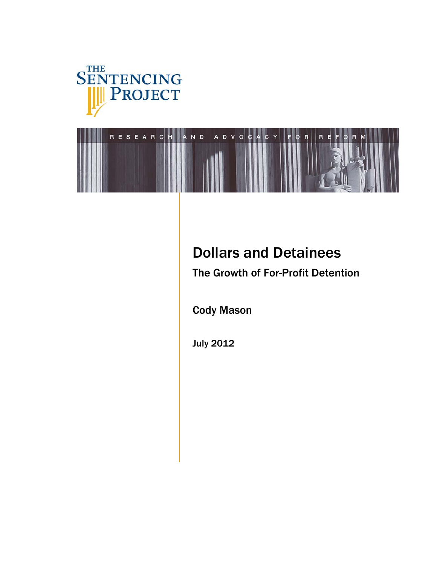



# Dollars and Detainees

The Growth of For-Profit Detention

Cody Mason

July 2012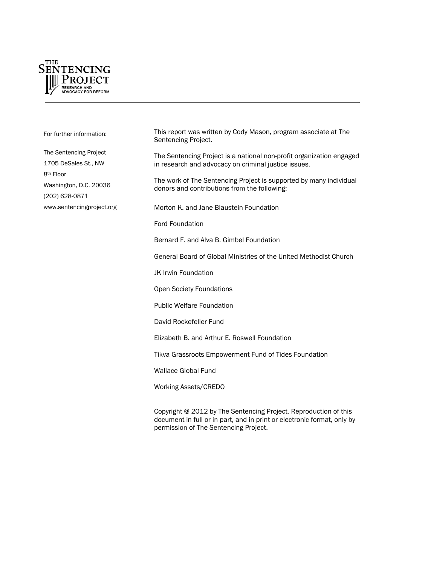

For further information:

The Sentencing Project 1705 DeSales St., NW 8th Floor Washington, D.C. 20036 (202) 628-0871 [www.sentencingproject.org](http://www.sentencingproject.org/)  This report was written by Cody Mason, program associate at The Sentencing Project.

The Sentencing Project is a national non-profit organization engaged in research and advocacy on criminal justice issues.

The work of The Sentencing Project is supported by many individual donors and contributions from the following:

Morton K. and Jane Blaustein Foundation

Ford Foundation

Bernard F. and Alva B. Gimbel Foundation

General Board of Global Ministries of the United Methodist Church

JK Irwin Foundation

Open Society Foundations

Public Welfare Foundation

David Rockefeller Fund

Elizabeth B. and Arthur E. Roswell Foundation

Tikva Grassroots Empowerment Fund of Tides Foundation

Wallace Global Fund

Working Assets/CREDO

Copyright @ 2012 by The Sentencing Project. Reproduction of this document in full or in part, and in print or electronic format, only by permission of The Sentencing Project.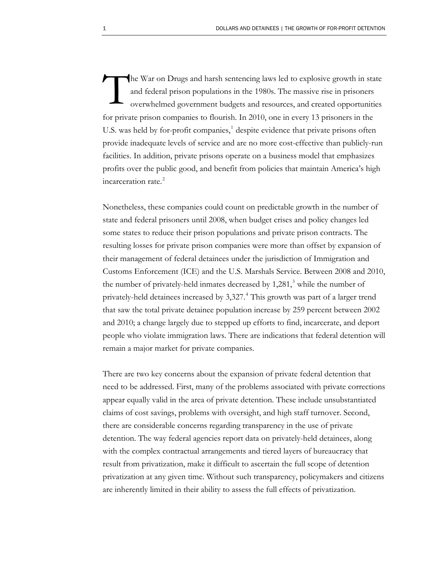he War on Drugs and harsh sentencing laws led to explosive growth in state and federal prison populations in the 1980s. The massive rise in prisoners overwhelmed government budgets and resources, and created opportunities for private prison companies to flourish. In 2010, one in every 13 prisoners in the U.S. was held by for-profit companies,<sup>[1](#page-18-0)</sup> despite evidence that private prisons often provide inadequate levels of service and are no more cost-effective than publicly-run facilities. In addition, private prisons operate on a business model that emphasizes profits over the public good, and benefit from policies that maintain America's high incarceration rate.<sup>[2](#page-18-1)</sup> T

Nonetheless, these companies could count on predictable growth in the number of state and federal prisoners until 2008, when budget crises and policy changes led some states to reduce their prison populations and private prison contracts. The resulting losses for private prison companies were more than offset by expansion of their management of federal detainees under the jurisdiction of Immigration and Customs Enforcement (ICE) and the U.S. Marshals Service. Between 2008 and 2010, the number of privately-held inmates decreased by 1,281,<sup>[3](#page-18-2)</sup> while the number of privately-held detainees increased by 3,327.<sup>[4](#page-18-3)</sup> This growth was part of a larger trend that saw the total private detainee population increase by 259 percent between 2002 and 2010; a change largely due to stepped up efforts to find, incarcerate, and deport people who violate immigration laws. There are indications that federal detention will remain a major market for private companies.

There are two key concerns about the expansion of private federal detention that need to be addressed. First, many of the problems associated with private corrections appear equally valid in the area of private detention. These include unsubstantiated claims of cost savings, problems with oversight, and high staff turnover. Second, there are considerable concerns regarding transparency in the use of private detention. The way federal agencies report data on privately-held detainees, along with the complex contractual arrangements and tiered layers of bureaucracy that result from privatization, make it difficult to ascertain the full scope of detention privatization at any given time. Without such transparency, policymakers and citizens are inherently limited in their ability to assess the full effects of privatization.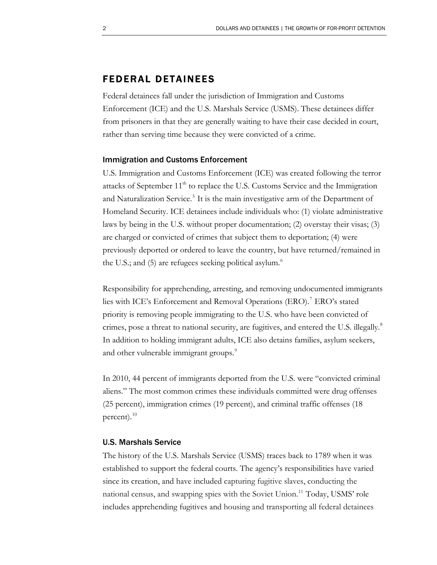### FEDERAL DETAINEES

Federal detainees fall under the jurisdiction of Immigration and Customs Enforcement (ICE) and the U.S. Marshals Service (USMS). These detainees differ from prisoners in that they are generally waiting to have their case decided in court, rather than serving time because they were convicted of a crime.

#### Immigration and Customs Enforcement

U.S. Immigration and Customs Enforcement (ICE) was created following the terror attacks of September  $11<sup>th</sup>$  to replace the U.S. Customs Service and the Immigration and Naturalization Service.<sup>[5](#page-18-4)</sup> It is the main investigative arm of the Department of Homeland Security. ICE detainees include individuals who: (1) violate administrative laws by being in the U.S. without proper documentation; (2) overstay their visas; (3) are charged or convicted of crimes that subject them to deportation; (4) were previously deported or ordered to leave the country, but have returned/remained in the U.S.; and  $(5)$  are refugees seeking political asylum. $\degree$ 

Responsibility for apprehending, arresting, and removing undocumented immigrants lies with ICE's Enforcement and Removal Operations (ERO).<sup>[7](#page-18-6)</sup> ERO's stated priority is removing people immigrating to the U.S. who have been convicted of crimes, pose a threat to national security, are fugitives, and entered the U.S. illegally.<sup>[8](#page-18-7)</sup> [In addition to holding immigrant adults, ICE also detains families, asylum seekers,](#page-18-7) [and other vulnerable immigrant g](#page-18-7)roups.<sup>9</sup>

In 2010, 44 percent of immigrants deported from the U.S. were "convicted criminal aliens." The most common crimes these individuals committed were drug offenses (25 percent), immigration crimes (19 percent), and criminal traffic offenses (18 percent). $^{10}$  $^{10}$  $^{10}$ 

#### U.S. Marshals Service

The history of the U.S. Marshals Service (USMS) traces back to 1789 when it was established to support the federal courts. The agency's responsibilities have varied since its creation, and have included capturing fugitive slaves, conducting the national census, and swapping spies with the Soviet Union.<sup>[11](#page-18-9)</sup> Today, USMS' role includes apprehending fugitives and housing and transporting all federal detainees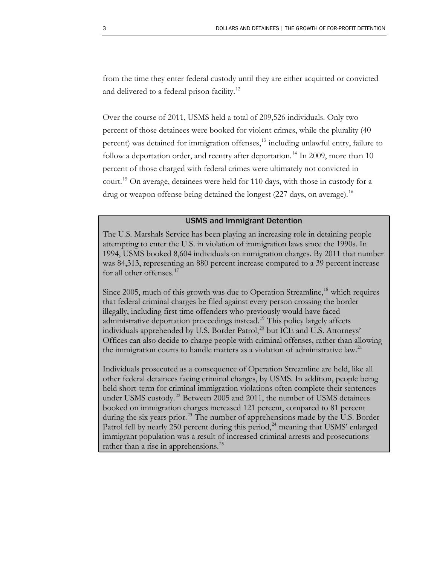from the time they enter federal custody until they are either acquitted or convicted and delivered to a federal prison facility.<sup>[12](#page-18-10)</sup>

Over the course of 2011, USMS held a total of 209,526 individuals. Only two percent of those detainees were booked for violent crimes, while the plurality (40 percent) was detained for immigration offenses,<sup>[13](#page-18-11)</sup> including unlawful entry, failure to follow a deportation order, and reentry after deportation.<sup>[14](#page-18-12)</sup> In 2009, more than 10 percent of those charged with federal crimes were ultimately not convicted in court.[15](#page-18-13) On average, detainees were held for 110 days, with those in custody for a drug or weapon offense being detained the longest (227 days, on average).<sup>16</sup>

### USMS and Immigrant Detention

The U.S. Marshals Service has been playing an increasing role in detaining people attempting to enter the U.S. in violation of immigration laws since the 1990s. In 1994, USMS booked 8,604 individuals on immigration charges. By 2011 that number was 84,313, representing an 880 percent increase compared to a 39 percent increase for all other offenses.<sup>[17](#page-18-14)</sup>

Since 2005, much of this growth was due to Operation Streamline,<sup>[18](#page-18-15)</sup> which requires that federal criminal charges be filed against every person crossing the border illegally, including first time offenders who previously would have faced administrative deportation proceedings instead.<sup>[19](#page-18-16)</sup> This policy largely affects individuals apprehended by U.S. Border Patrol,<sup>[20](#page-18-17)</sup> but ICE and U.S. Attorneys' Offices can also decide to charge people with criminal offenses, rather than allowing the immigration courts to handle matters as a violation of administrative law.<sup>[21](#page-18-18)</sup>

Individuals prosecuted as a consequence of Operation Streamline are held, like all other federal detainees facing criminal charges, by USMS. In addition, people being held short-term for criminal immigration violations often complete their sentences under USMS custody.<sup>[22](#page-18-19)</sup> Between 2005 and 2011, the number of USMS detainees booked on immigration charges increased 121 percent, compared to 81 percent during the six years prior.<sup>[23](#page-18-20)</sup> The number of apprehensions made by the U.S. Border Patrol fell by nearly 250 percent during this period, $^{24}$  $^{24}$  $^{24}$  meaning that USMS' enlarged immigrant population was a result of increased criminal arrests and prosecutions rather than a rise in apprehensions.<sup>[25](#page-19-0)</sup>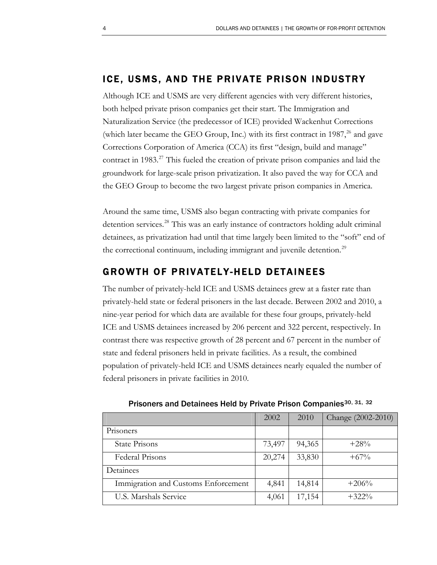### ICE, USMS, AND THE PRIVATE PRISON INDUSTRY

Although ICE and USMS are very different agencies with very different histories, both helped private prison companies get their start. The Immigration and Naturalization Service (the predecessor of ICE) provided Wackenhut Corrections (which later became the GEO Group, Inc.) with its first contract in  $1987<sup>26</sup>$  $1987<sup>26</sup>$  $1987<sup>26</sup>$  and gave Corrections Corporation of America (CCA) its first "design, build and manage" contract in 1983.<sup>[27](#page-19-2)</sup> This fueled the creation of private prison companies and laid the groundwork for large-scale prison privatization. It also paved the way for CCA and the GEO Group to become the two largest private prison companies in America.

Around the same time, USMS also began contracting with private companies for detention services.<sup>[28](#page-19-3)</sup> This was an early instance of contractors holding adult criminal detainees, as privatization had until that time largely been limited to the "soft" end of the correctional continuum, including immigrant and juvenile detention.<sup>[29](#page-19-4)</sup>

### GROWTH OF PRIVATELY-HELD DETAINEES

The number of privately-held ICE and USMS detainees grew at a faster rate than privately-held state or federal prisoners in the last decade. Between 2002 and 2010, a nine-year period for which data are available for these four groups, privately-held ICE and USMS detainees increased by 206 percent and 322 percent, respectively. In contrast there was respective growth of 28 percent and 67 percent in the number of state and federal prisoners held in private facilities. As a result, the combined population of privately-held ICE and USMS detainees nearly equaled the number of federal prisoners in private facilities in 2010.

|                                     | 2002   | 2010   | Change (2002-2010) |
|-------------------------------------|--------|--------|--------------------|
| Prisoners                           |        |        |                    |
| State Prisons                       | 73,497 | 94,365 | $+28%$             |
| Federal Prisons                     | 20,274 | 33,830 | $+67\%$            |
| Detainees                           |        |        |                    |
| Immigration and Customs Enforcement | 4,841  | 14,814 | $+206%$            |
| U.S. Marshals Service               | 4,061  | 17,154 | $+322\%$           |

Prisoners and Detainees Held by Private Prison Companies<sup>[30](#page-19-5), [31](#page-19-6), [32](#page-19-7)</sup>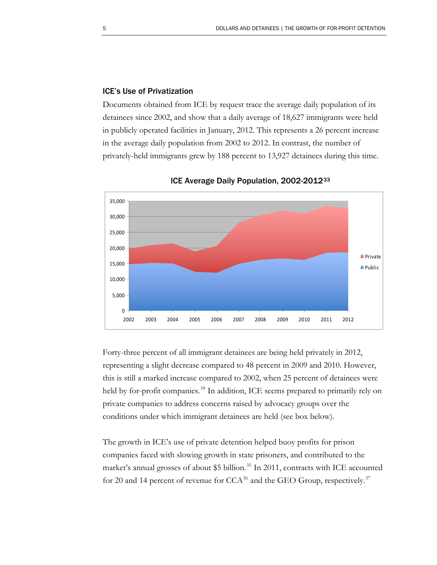### ICE's Use of Privatization

Documents obtained from ICE by request trace the average daily population of its detainees since 2002, and show that a daily average of 18,627 immigrants were held in publicly operated facilities in January, 2012. This represents a 26 percent increase in the average daily population from 2002 to 2012. In contrast, the number of privately-held immigrants grew by 188 percent to 13,927 detainees during this time.



ICE Average Daily Population, 2002-2012[33](#page-19-8)

Forty-three percent of all immigrant detainees are being held privately in 2012, representing a slight decrease compared to 48 percent in 2009 and 2010. However, this is still a marked increase compared to 2002, when 25 percent of detainees were held by for-profit companies.<sup>[34](#page-19-9)</sup> In addition, ICE seems prepared to primarily rely on private companies to address concerns raised by advocacy groups over the conditions under which immigrant detainees are held (see box below).

The growth in ICE's use of private detention helped buoy profits for prison companies faced with slowing growth in state prisoners, and contributed to the market's annual grosses of about  $$5$  billion.<sup>[35](#page-19-10)</sup> In 2011, contracts with ICE accounted for 20 and 14 percent of revenue for  $CCA^{36}$  $CCA^{36}$  $CCA^{36}$  and the GEO Group, respectively.<sup>[37](#page-19-12)</sup>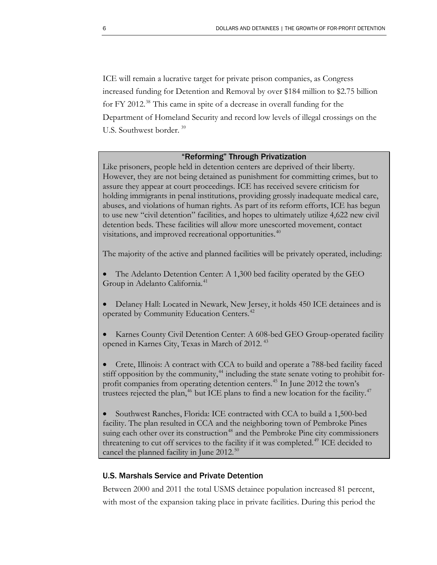ICE will remain a lucrative target for private prison companies, as Congress increased funding for Detention and Removal by over \$184 million to \$2.75 billion for FY 2012.<sup>[38](#page-19-13)</sup> This came in spite of a decrease in overall funding for the Department of Homeland Security and record low levels of illegal crossings on the U.S. Southwest border. [39](#page-19-14)

### "Reforming" Through Privatization

Like prisoners, people held in detention centers are deprived of their liberty. However, they are not being detained as punishment for committing crimes, but to assure they appear at court proceedings. ICE has received severe criticism for holding immigrants in penal institutions, providing grossly inadequate medical care, abuses, and violations of human rights. As part of its reform efforts, ICE has begun to use new "civil detention" facilities, and hopes to ultimately utilize 4,622 new civil detention beds. These facilities will allow more unescorted movement, contact visitations, and improved recreational opportunities.<sup>[40](#page-19-15)</sup>

The majority of the active and planned facilities will be privately operated, including:

- The Adelanto Detention Center: A 1,300 bed facility operated by the GEO Group in Adelanto California.<sup>[41](#page-19-16)</sup>
- Delaney Hall: Located in Newark, New Jersey, it holds 450 ICE detainees and is operated by Community Education Centers.<sup>[42](#page-19-17)</sup>
- Karnes County Civil Detention Center: A 608-bed GEO Group-operated facility opened in Karnes City, Texas in March of 2012.<sup>[43](#page-19-18)</sup>
- Crete, Illinois: A contract with CCA to build and operate a 788-bed facility faced stiff opposition by the community,<sup>[44](#page-19-19)</sup> including the state senate voting to prohibit for-profit companies from operating detention centers.<sup>[45](#page-19-20)</sup> In June 2012 the town's trustees rejected the plan,<sup>[46](#page-19-21)</sup> but ICE plans to find a new location for the facility.<sup>[47](#page-19-22)</sup>
- Southwest Ranches, Florida: ICE contracted with CCA to build a 1,500-bed facility. The plan resulted in CCA and the neighboring town of Pembroke Pines suing each other over its construction<sup>[48](#page-19-23)</sup> and the Pembroke Pine city commissioners threatening to cut off services to the facility if it was completed.<sup>[49](#page-19-24)</sup> ICE decided to cancel the planned facility in June  $2012.^{50}$  $2012.^{50}$  $2012.^{50}$

### U.S. Marshals Service and Private Detention

Between 2000 and 2011 the total USMS detainee population increased 81 percent, with most of the expansion taking place in private facilities. During this period the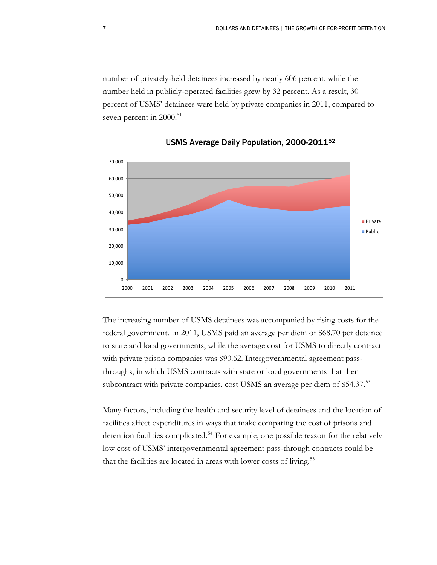number of privately-held detainees increased by nearly 606 percent, while the number held in publicly-operated facilities grew by 32 percent. As a result, 30 percent of USMS' detainees were held by private companies in 2011, compared to seven percent in 2000.<sup>[51](#page-19-26)</sup>



USMS Average Daily Population, 2000-2011[52](#page-19-27)

The increasing number of USMS detainees was accompanied by rising costs for the federal government. In 2011, USMS paid an average per diem of \$68.70 per detainee to state and local governments, while the average cost for USMS to directly contract with private prison companies was \$90.62. Intergovernmental agreement passthroughs, in which USMS contracts with state or local governments that then subcontract with private companies, cost USMS an average per diem of \$54.37.<sup>[53](#page-20-0)</sup>

Many factors, including the health and security level of detainees and the location of facilities affect expenditures in ways that make comparing the cost of prisons and detention facilities complicated.<sup>[54](#page-20-1)</sup> For example, one possible reason for the relatively low cost of USMS' intergovernmental agreement pass-through contracts could be that the facilities are located in areas with lower costs of living.<sup>[55](#page-20-2)</sup>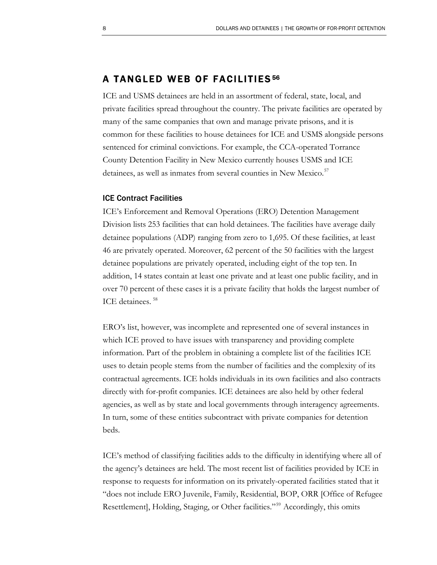### A TANGLED WEB OF FACILITIES [56](#page-20-3)

ICE and USMS detainees are held in an assortment of federal, state, local, and private facilities spread throughout the country. The private facilities are operated by many of the same companies that own and manage private prisons, and it is common for these facilities to house detainees for ICE and USMS alongside persons sentenced for criminal convictions. For example, the CCA-operated Torrance County Detention Facility in New Mexico currently houses USMS and ICE detainees, as well as inmates from several counties in New Mexico.<sup>[57](#page-20-4)</sup>

### ICE Contract Facilities

ICE's Enforcement and Removal Operations (ERO) Detention Management Division lists 253 facilities that can hold detainees. The facilities have average daily detainee populations (ADP) ranging from zero to 1,695. Of these facilities, at least 46 are privately operated. Moreover, 62 percent of the 50 facilities with the largest detainee populations are privately operated, including eight of the top ten. In addition, 14 states contain at least one private and at least one public facility, and in over 70 percent of these cases it is a private facility that holds the largest number of ICE detainees. [58](#page-20-5)

ERO's list, however, was incomplete and represented one of several instances in which ICE proved to have issues with transparency and providing complete information. Part of the problem in obtaining a complete list of the facilities ICE uses to detain people stems from the number of facilities and the complexity of its contractual agreements. ICE holds individuals in its own facilities and also contracts directly with for-profit companies. ICE detainees are also held by other federal agencies, as well as by state and local governments through interagency agreements. In turn, some of these entities subcontract with private companies for detention beds.

ICE's method of classifying facilities adds to the difficulty in identifying where all of the agency's detainees are held. The most recent list of facilities provided by ICE in response to requests for information on its privately-operated facilities stated that it "does not include ERO Juvenile, Family, Residential, BOP, ORR [Office of Refugee Resettlement], Holding, Staging, or Other facilities."<sup>[59](#page-20-6)</sup> Accordingly, this omits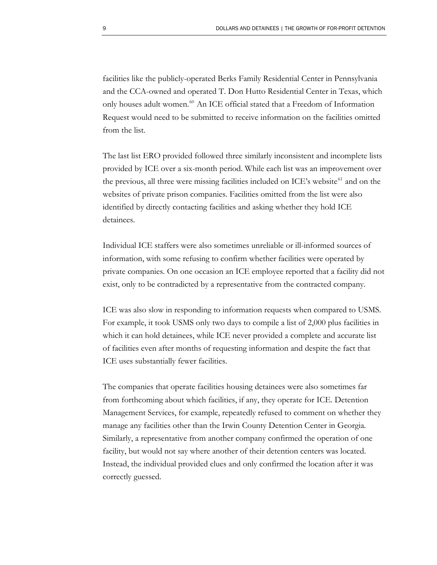facilities like the publicly-operated Berks Family Residential Center in Pennsylvania and the CCA-owned and operated T. Don Hutto Residential Center in Texas, which only houses adult women.<sup>[60](#page-20-7)</sup> An ICE official stated that a Freedom of Information Request would need to be submitted to receive information on the facilities omitted from the list.

The last list ERO provided followed three similarly inconsistent and incomplete lists provided by ICE over a six-month period. While each list was an improvement over the previous, all three were missing facilities included on ICE's website<sup>[61](#page-20-8)</sup> and on the websites of private prison companies. Facilities omitted from the list were also identified by directly contacting facilities and asking whether they hold ICE detainees.

Individual ICE staffers were also sometimes unreliable or ill-informed sources of information, with some refusing to confirm whether facilities were operated by private companies. On one occasion an ICE employee reported that a facility did not exist, only to be contradicted by a representative from the contracted company.

ICE was also slow in responding to information requests when compared to USMS. For example, it took USMS only two days to compile a list of 2,000 plus facilities in which it can hold detainees, while ICE never provided a complete and accurate list of facilities even after months of requesting information and despite the fact that ICE uses substantially fewer facilities.

The companies that operate facilities housing detainees were also sometimes far from forthcoming about which facilities, if any, they operate for ICE. Detention Management Services, for example, repeatedly refused to comment on whether they manage any facilities other than the Irwin County Detention Center in Georgia. Similarly, a representative from another company confirmed the operation of one facility, but would not say where another of their detention centers was located. Instead, the individual provided clues and only confirmed the location after it was correctly guessed.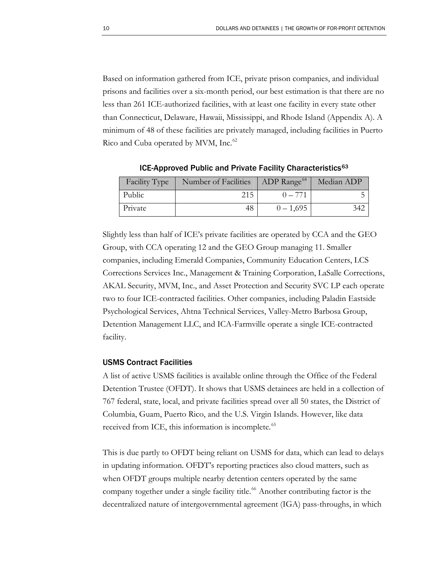Based on information gathered from ICE, private prison companies, and individual prisons and facilities over a six-month period, our best estimation is that there are no less than 261 ICE-authorized facilities, with at least one facility in every state other than Connecticut, Delaware, Hawaii, Mississippi, and Rhode Island (Appendix A). A minimum of 48 of these facilities are privately managed, including facilities in Puerto Rico and Cuba operated by MVM, Inc.<sup>[62](#page-20-9)</sup>

| Facility Type | Number of Facilities | $\vert$ ADP Range <sup>64</sup> | Median ADP |
|---------------|----------------------|---------------------------------|------------|
| Public        | 215                  | $0 - 771$                       |            |
| Private       | 48                   | $0 - 1,695$                     |            |

ICE-Approved Public and Private Facility Characteristics<sup>[63](#page-20-10)</sup>

Slightly less than half of ICE's private facilities are operated by CCA and the GEO Group, with CCA operating 12 and the GEO Group managing 11. Smaller companies, including Emerald Companies, Community Education Centers, LCS Corrections Services Inc., Management & Training Corporation, LaSalle Corrections, AKAL Security, MVM, Inc., and Asset Protection and Security SVC LP each operate two to four ICE-contracted facilities. Other companies, including Paladin Eastside Psychological Services, Ahtna Technical Services, Valley-Metro Barbosa Group, Detention Management LLC, and ICA-Farmville operate a single ICE-contracted facility.

#### USMS Contract Facilities

A list of active USMS facilities is available online through the Office of the Federal Detention Trustee (OFDT). It shows that USMS detainees are held in a collection of 767 federal, state, local, and private facilities spread over all 50 states, the District of Columbia, Guam, Puerto Rico, and the U.S. Virgin Islands. However, like data received from ICE, this information is incomplete.<sup>[65](#page-20-12)</sup>

This is due partly to OFDT being reliant on USMS for data, which can lead to delays in updating information. OFDT's reporting practices also cloud matters, such as when OFDT groups multiple nearby detention centers operated by the same company together under a single facility title.<sup>[66](#page-20-13)</sup> Another contributing factor is the decentralized nature of intergovernmental agreement (IGA) pass-throughs, in which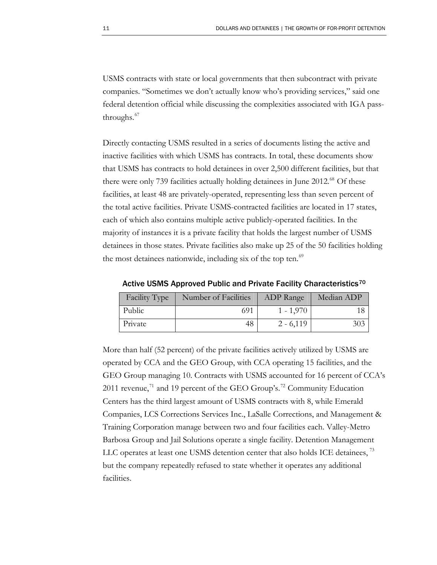USMS contracts with state or local governments that then subcontract with private companies. "Sometimes we don't actually know who's providing services," said one federal detention official while discussing the complexities associated with IGA pass-throughs.<sup>[67](#page-20-14)</sup>

Directly contacting USMS resulted in a series of documents listing the active and inactive facilities with which USMS has contracts. In total, these documents show that USMS has contracts to hold detainees in over 2,500 different facilities, but that there were only 739 facilities actually holding detainees in June 2012.<sup>[68](#page-20-15)</sup> Of these facilities, at least 48 are privately-operated, representing less than seven percent of the total active facilities. Private USMS-contracted facilities are located in 17 states, each of which also contains multiple active publicly-operated facilities. In the majority of instances it is a private facility that holds the largest number of USMS detainees in those states. Private facilities also make up 25 of the 50 facilities holding the most detainees nationwide, including six of the top ten.<sup>[69](#page-20-16)</sup>

Facility Type | Number of Facilities | ADP Range | Median ADP Public 1 - 1,970 18 Private 1 48 2 - 6,119 303

Active USMS Approved Public and Private Facility Characteristics<sup>[70](#page-20-17)</sup>

More than half (52 percent) of the private facilities actively utilized by USMS are operated by CCA and the GEO Group, with CCA operating 15 facilities, and the GEO Group managing 10. Contracts with USMS accounted for 16 percent of CCA's 2011 revenue,<sup>[71](#page-20-18)</sup> and 19 percent of the GEO Group's.<sup>[72](#page-20-19)</sup> Community Education Centers has the third largest amount of USMS contracts with 8, while Emerald Companies, LCS Corrections Services Inc., LaSalle Corrections, and Management & Training Corporation manage between two and four facilities each. Valley-Metro Barbosa Group and Jail Solutions operate a single facility. Detention Management LLC operates at least one USMS detention center that also holds ICE detainees,<sup>[73](#page-20-20)</sup> but the company repeatedly refused to state whether it operates any additional facilities.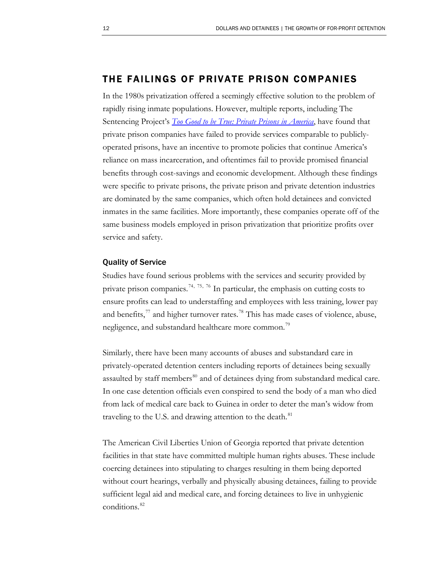### THE FAILINGS OF PRIVATE PRISON COMPANIES

In the 1980s privatization offered a seemingly effective solution to the problem of rapidly rising inmate populations. However, multiple reports, including The Sentencing Project's *[Too Good to be True: Private Prisons in America](http://sentencingproject.org/doc/publications/inc_Too_Good_to_be_True.pdf)*, have found that private prison companies have failed to provide services comparable to publiclyoperated prisons, have an incentive to promote policies that continue America's reliance on mass incarceration, and oftentimes fail to provide promised financial benefits through cost-savings and economic development. Although these findings were specific to private prisons, the private prison and private detention industries are dominated by the same companies, which often hold detainees and convicted inmates in the same facilities. More importantly, these companies operate off of the same business models employed in prison privatization that prioritize profits over service and safety.

### Quality of Service

Studies have found serious problems with the services and security provided by private prison companies.<sup>[74](#page-20-21), [75](#page-20-22), [76](#page-20-23)</sup> In particular, the emphasis on cutting costs to ensure profits can lead to understaffing and employees with less training, lower pay and benefits, $^{77}$  $^{77}$  $^{77}$  and higher turnover rates.<sup>[78](#page-20-25)</sup> This has made cases of violence, abuse, negligence, and substandard healthcare more common.<sup>19</sup>

Similarly, there have been many accounts of abuses and substandard care in privately-operated detention centers including reports of detainees being sexually assaulted by staff members<sup>[80](#page-20-27)</sup> and of detainees dying from substandard medical care. In one case detention officials even conspired to send the body of a man who died from lack of medical care back to Guinea in order to deter the man's widow from traveling to the U.S. and drawing attention to the death.<sup>[81](#page-20-28)</sup>

The American Civil Liberties Union of Georgia reported that private detention facilities in that state have committed multiple human rights abuses. These include coercing detainees into stipulating to charges resulting in them being deported without court hearings, verbally and physically abusing detainees, failing to provide sufficient legal aid and medical care, and forcing detainees to live in unhygienic conditions.<sup>[82](#page-21-0)</sup>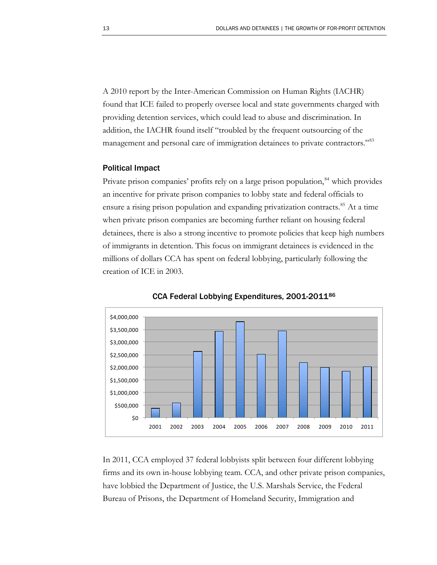A 2010 report by the Inter-American Commission on Human Rights (IACHR) found that ICE failed to properly oversee local and state governments charged with providing detention services, which could lead to abuse and discrimination. In addition, the IACHR found itself "troubled by the frequent outsourcing of the management and personal care of immigration detainees to private contractors."<sup>[83](#page-21-1)</sup>

#### Political Impact

Private prison companies' profits rely on a large prison population,<sup>[84](#page-21-2)</sup> which provides an incentive for private prison companies to lobby state and federal officials to ensure a rising prison population and expanding privatization contracts.<sup>[85](#page-21-3)</sup> At a time when private prison companies are becoming further reliant on housing federal detainees, there is also a strong incentive to promote policies that keep high numbers of immigrants in detention. This focus on immigrant detainees is evidenced in the millions of dollars CCA has spent on federal lobbying, particularly following the creation of ICE in 2003.





In 2011, CCA employed 37 federal lobbyists split between four different lobbying firms and its own in-house lobbying team. CCA, and other private prison companies, have lobbied the Department of Justice, the U.S. Marshals Service, the Federal Bureau of Prisons, the Department of Homeland Security, Immigration and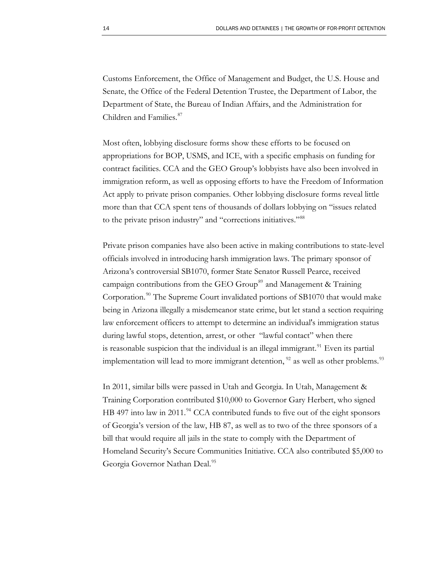Customs Enforcement, the Office of Management and Budget, the U.S. House and Senate, the Office of the Federal Detention Trustee, the Department of Labor, the Department of State, the Bureau of Indian Affairs, and the Administration for Children and Families.<sup>[87](#page-21-5)</sup>

Most often, lobbying disclosure forms show these efforts to be focused on appropriations for BOP, USMS, and ICE, with a specific emphasis on funding for contract facilities. CCA and the GEO Group's lobbyists have also been involved in immigration reform, as well as opposing efforts to have the Freedom of Information Act apply to private prison companies. Other lobbying disclosure forms reveal little more than that CCA spent tens of thousands of dollars lobbying on "issues related to the private prison industry" and "corrections initiatives."[88](#page-21-6)

Private prison companies have also been active in making contributions to state-level officials involved in introducing harsh immigration laws. The primary sponsor of Arizona's controversial SB1070, former State Senator Russell Pearce, received campaign contributions from the GEO Group<sup>[89](#page-21-7)</sup> and Management & Training Corporation.<sup>[90](#page-21-8)</sup> The Supreme Court invalidated portions of  $SB1070$  that would make being in Arizona illegally a misdemeanor state crime, but let stand a section requiring law enforcement officers to attempt to determine an individual's immigration status during lawful stops, detention, arrest, or other "lawful contact" when there is reasonable suspicion that the individual is an illegal immigrant.<sup>[91](#page-21-9)</sup> Even its partial implementation will lead to more immigrant detention, <sup>[92](#page-21-10)</sup> as well as other problems.<sup>[93](#page-21-11)</sup>

In 2011, similar bills were passed in Utah and Georgia. In Utah, Management & Training Corporation contributed \$10,000 to Governor Gary Herbert, who signed HB 497 into law in 2011.<sup>[94](#page-21-12)</sup> CCA contributed funds to five out of the eight sponsors of Georgia's version of the law, HB 87, as well as to two of the three sponsors of a bill that would require all jails in the state to comply with the Department of Homeland Security's Secure Communities Initiative. CCA also contributed \$5,000 to Georgia Governor Nathan Deal.<sup>[95](#page-21-13)</sup>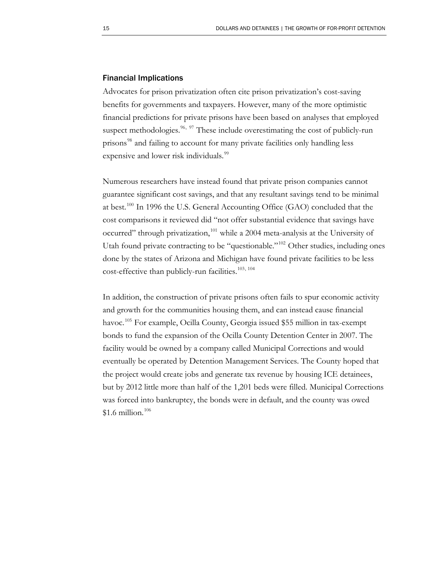### Financial Implications

Advocates for prison privatization often cite prison privatization's cost-saving benefits for governments and taxpayers. However, many of the more optimistic financial predictions for private prisons have been based on analyses that employed suspect methodologies.<sup>[96](#page-21-14), [97](#page-21-15)</sup> These include overestimating the cost of publicly-run prisons<sup>[98](#page-21-16)</sup> and failing to account for many private facilities only handling less expensive and lower risk individuals.<sup>[99](#page-21-17)</sup>

Numerous researchers have instead found that private prison companies cannot guarantee significant cost savings, and that any resultant savings tend to be minimal at best.<sup>[100](#page-21-18)</sup> In 1996 the U.S. General Accounting Office (GAO) concluded that the cost comparisons it reviewed did "not offer substantial evidence that savings have occurred" through privatization,<sup>[101](#page-21-19)</sup> while a 2004 meta-analysis at the University of Utah found private contracting to be "questionable."<sup>[102](#page-21-20)</sup> Other studies, including ones done by the states of Arizona and Michigan have found private facilities to be less cost-effective than publicly-run facilities.<sup>[103](#page-21-21), [104](#page-21-22)</sup>

In addition, the construction of private prisons often fails to spur economic activity and growth for the communities housing them, and can instead cause financial havoc.<sup>[105](#page-21-23)</sup> For example, Ocilla County, Georgia issued \$55 million in tax-exempt bonds to fund the expansion of the Ocilla County Detention Center in 2007. The facility would be owned by a company called Municipal Corrections and would eventually be operated by Detention Management Services. The County hoped that the project would create jobs and generate tax revenue by housing ICE detainees, but by 2012 little more than half of the 1,201 beds were filled. Municipal Corrections was forced into bankruptcy, the bonds were in default, and the county was owed  $$1.6$  million.<sup>[106](#page-21-24)</sup>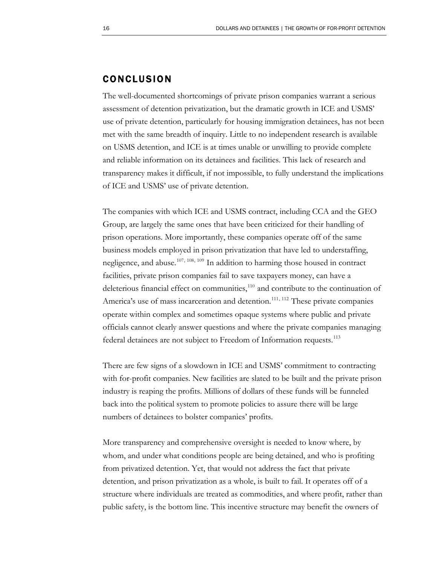### CONCLUSION

The well-documented shortcomings of private prison companies warrant a serious assessment of detention privatization, but the dramatic growth in ICE and USMS' use of private detention, particularly for housing immigration detainees, has not been met with the same breadth of inquiry. Little to no independent research is available on USMS detention, and ICE is at times unable or unwilling to provide complete and reliable information on its detainees and facilities. This lack of research and transparency makes it difficult, if not impossible, to fully understand the implications of ICE and USMS' use of private detention.

The companies with which ICE and USMS contract, including CCA and the GEO Group, are largely the same ones that have been criticized for their handling of prison operations. More importantly, these companies operate off of the same business models employed in prison privatization that have led to understaffing, negligence, and abuse.<sup>[107](#page-21-25), [108](#page-22-0), [109](#page-22-1)</sup> In addition to harming those housed in contract facilities, private prison companies fail to save taxpayers money, can have a deleterious financial effect on communities, $110$  and contribute to the continuation of America's use of mass incarceration and detention.<sup>[111](#page-22-3), [112](#page-22-4)</sup> These private companies operate within complex and sometimes opaque systems where public and private officials cannot clearly answer questions and where the private companies managing federal detainees are not subject to Freedom of Information requests.<sup>[113](#page-22-5)</sup>

There are few signs of a slowdown in ICE and USMS' commitment to contracting with for-profit companies. New facilities are slated to be built and the private prison industry is reaping the profits. Millions of dollars of these funds will be funneled back into the political system to promote policies to assure there will be large numbers of detainees to bolster companies' profits.

More transparency and comprehensive oversight is needed to know where, by whom, and under what conditions people are being detained, and who is profiting from privatized detention. Yet, that would not address the fact that private detention, and prison privatization as a whole, is built to fail. It operates off of a structure where individuals are treated as commodities, and where profit, rather than public safety, is the bottom line. This incentive structure may benefit the owners of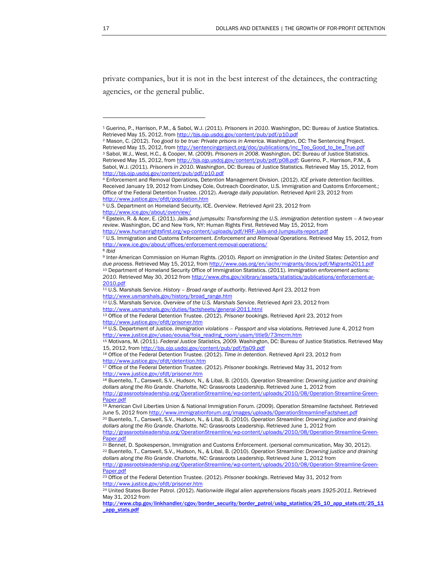private companies, but it is not in the best interest of the detainees, the contracting agencies, or the general public.

<span id="page-18-2"></span><span id="page-18-1"></span>2 Mason, C. (2012). *Too good to be true: Private prisons in America*. Washington, DC: The Sentencing Project[.](http://sentencingproject.org/doc/publications/inc_Too_Good_to_be_True.pdf)  Retrieved May 15, 2012, from [http://sentencingproject.org/doc/publications/inc\\_Too\\_Good\\_to\\_be\\_True.pdf](http://sentencingproject.org/doc/publications/inc_Too_Good_to_be_True.pdf) 3 Sabol, W.J., West, H.C., & Cooper, M. (2009). *Prisoners in 2008*. Washington, DC: Bureau of Justice Statistics. Retrieved May 15, 2012, from [http://bjs.ojp.usdoj.gov/content/pub/pdf/p08.pdf;](http://bjs.ojp.usdoj.gov/content/pub/pdf/p08.pdf) Guerino, P., Harrison, P.M., & Sabol, W.J. (2011). *Prisoners in 2010*. Washingto[n,](http://bjs.ojp.usdoj.gov/content/pub/pdf/p10.pdf) DC: Bureau of Justice Statistics. Retrieved May 15, 2012, from <http://bjs.ojp.usdoj.gov/content/pub/pdf/p10.pdf>

<span id="page-18-14"></span>17 Office of the Federal Detention Trustee[. \(](http://www.justice.gov/ofdt/prisoner.htm)2012). *Prisoner bookings*. Retrieved May 31, 2012 from <http://www.justice.gov/ofdt/prisoner.htm>

<span id="page-18-15"></span>18 Buentello, T., Carswell, S.V., Hudson, N., & Libal, B. (2010). *Operation Streamline: Drowning justice and draining dollars along the Rio Grande*. Charlotte, NC: Grassroots Leadership. Retrieved June 1, 2012 from [http://grassrootsleadership.org/OperationStreamline/wp-content/uploads/2010/08/Operation-Streamline-Green-](http://grassrootsleadership.org/OperationStreamline/wp-content/uploads/2010/08/Operation-Streamline-Green-Paper.pdf)

[Paper.pdf](http://grassrootsleadership.org/OperationStreamline/wp-content/uploads/2010/08/Operation-Streamline-Green-Paper.pdf)

<span id="page-18-19"></span><span id="page-18-18"></span>21 Bennet, D. Spokesperson, Immigration and Customs Enforcement. (personal communication, May 30, 2012). 22 Buentello, T., Carswell, S.V., Hudson, N., & Libal, B. (2010). *Operation Streamline: Drowning justice and draining dollars along the Rio Grande*. Charlotte, NC: Grassroots Leadership. Retrieved June 1, 2012 from [http://grassrootsleadership.org/OperationStreamline/wp-content/uploads/2010/08/Operation-Streamline-Green-](http://grassrootsleadership.org/OperationStreamline/wp-content/uploads/2010/08/Operation-Streamline-Green-Paper.pdf)[Paper.pdf](http://grassrootsleadership.org/OperationStreamline/wp-content/uploads/2010/08/Operation-Streamline-Green-Paper.pdf)

<span id="page-18-20"></span>23 Office of the Federal Detention Trustee[. \(](http://www.justice.gov/ofdt/prisoner.htm)2012). *Prisoner bookings*. Retrieved May 31, 2012 from <http://www.justice.gov/ofdt/prisoner.htm>

<span id="page-18-21"></span>24 United States Border Patrol. (2012). *Nationwide illegal alien apprehensions fiscals years 1925-2011*. Retrieved May 31, 2012 from

[http://www.cbp.gov/linkhandler/cgov/border\\_security/border\\_patrol/usbp\\_statistics/25\\_10\\_app\\_stats.ctt/25\\_11](http://www.cbp.gov/linkhandler/cgov/border_security/border_patrol/usbp_statistics/25_10_app_stats.ctt/25_11_app_stats.pdf) [\\_app\\_stats.pdf](http://www.cbp.gov/linkhandler/cgov/border_security/border_patrol/usbp_statistics/25_10_app_stats.ctt/25_11_app_stats.pdf)

<span id="page-18-0"></span><sup>1</sup> Guerino, P., Harrison, P.M., & Sabol, W.J. (2011). *Prisoners in 2010*. Washingto[n,](http://bjs.ojp.usdoj.gov/content/pub/pdf/p10.pdf) DC: Bureau of Justice Statistics. Retrieved May 15, 2012, from http://bis.oip.usdoj.gov/content/pub/pdf/p10.pdf

<span id="page-18-3"></span><sup>4</sup> Enforcement and Removal Operations, Detention Management Division. (2012). *ICE private detention facilities*. Received January 19, 2012 from Lindsey Cole, Outreach Coordinator, U.S. Immigration and Customs Enforcement.; Office of the Federal Detention Trustee. (20[1](http://www.justice.gov/ofdt/population.htm)2). *Average daily population*. Retrieved April 23, 2012 from <http://www.justice.gov/ofdt/population.htm>

<span id="page-18-4"></span><sup>5</sup> U.S. Department on Homeland Security, ICE. *Overview*. Retrieved April 23, 2012 from <http://www.ice.gov/about/overview/>

<span id="page-18-5"></span><sup>6</sup> Epstein, R. & Acer, E. (2011). *Jails and jumpsuits: Transforming the U.S. immigration detention system – A two-year review*. Washington, DC and New York, NY: Human Rights First. Retrieved May 15, 2012, from <http://www.humanrightsfirst.org/wp-content/uploads/pdf/HRF-Jails-and-Jumpsuits-report.pdf>

<span id="page-18-6"></span><sup>7</sup> U.S. Immigration and Customs Enforcement. *Enforcement and Removal Operations*. Retrieved May 15, 2012, from <http://www.ice.gov/about/offices/enforcement-removal-operations/>

<span id="page-18-7"></span><sup>8</sup> *Ibid*

<span id="page-18-8"></span><sup>9</sup> Inter-American Commission on Human Rights. (2010). *Report on immigration in the United States: Detention and due process*. Retrieved May 15, 2012, from<http://www.oas.org/en/iachr/migrants/docs/pdf/Migrants2011.pdf> 10 Department of Homeland Security Office of Immigration Statistics. (2011). *Immigration enforcement actions: 2010*. Retrieved May 30, 2012 from [http://www.dhs.gov/xlibrary/assets/statistics/publications/enforcement-ar-](http://www.dhs.gov/xlibrary/assets/statistics/publications/enforcement-ar-2010.pdf)[2010.pdf](http://www.dhs.gov/xlibrary/assets/statistics/publications/enforcement-ar-2010.pdf)

<span id="page-18-9"></span><sup>11</sup> U.S. Marshals Service. *History – Broad range of authority*. Retrieved April 23, 2012 from [http://www.usmarshals.gov/history/broad\\_range.htm](http://www.usmarshals.gov/history/broad_range.htm)

<span id="page-18-10"></span><sup>12</sup> U.S. Marshals Service. *Overview of the U.S. Marshals Service*. Retrieved April 23, 2012 from <http://www.usmarshals.gov/duties/factsheets/general-2011.html>

<span id="page-18-11"></span><sup>13</sup> Office of the Federal Detention Trustee. (2012). *Prisoner bookings*. Retrieved April 23, 2012 from <http://www.justice.gov/ofdt/prisoner.htm>

<span id="page-18-12"></span><sup>14</sup> U.S. Department of Justice. *Immigration violations – Passport and visa violations*. Retrieved June 4, 2012 from [http://www.justice.gov/usao/eousa/foia\\_reading\\_room/usam/title9/73mcrm.htm](http://www.justice.gov/usao/eousa/foia_reading_room/usam/title9/73mcrm.htm)

<span id="page-18-13"></span><sup>15</sup> Motivans, M. (2011). *Federal Justice Statistics, 2009*. Washington, DC: Bureau of Justice Statistics. Retrieved May 15, 2012, from <http://bjs.ojp.usdoj.gov/content/pub/pdf/fjs09.pdf>

<sup>16</sup> Office of the Federal Detention Trustee. (2012). *Time in detention*. Retrieved April 23, 2012 from <http://www.justice.gov/ofdt/detention.htm>

[Paper.pdf](http://grassrootsleadership.org/OperationStreamline/wp-content/uploads/2010/08/Operation-Streamline-Green-Paper.pdf) 19 American Civil Liberties Union & National Immigration Forum. (2009). *Operation Streamline factsheet.* Retrieved June 5, 2012 from <http://www.immigrationforum.org/images/uploads/OperationStreamlineFactsheet.pdf>

<span id="page-18-17"></span><span id="page-18-16"></span><sup>20</sup> Buentello, T., Carswell, S.V., Hudson, N., & Libal, B. (2010). *Operation Streamline: Drowning justice and draining dollars along the Rio Grande*. Charlotte, NC: Grassroots Leadership. Retrieved June 1, 2012 from [http://grassrootsleadership.org/OperationStreamline/wp-content/uploads/2010/08/Operation-Streamline-Green-](http://grassrootsleadership.org/OperationStreamline/wp-content/uploads/2010/08/Operation-Streamline-Green-Paper.pdf)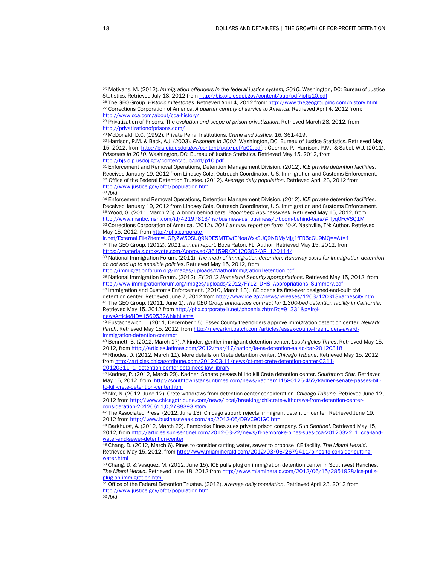<span id="page-19-8"></span><sup>33</sup> *Ibid* 

<span id="page-19-10"></span><span id="page-19-9"></span>34 Enforcement and Removal Operations, Detention Management Division. (2012). *ICE private detention facilities*. Received January 19, 2012 from Lindsey Cole, Outreach Coordinator, U.S. Immigration and Customs Enforcement. 35 Wood, G. (2011, March 25). A boom behind bars. *Bloomberg Businessweek.* Retrieved May 15, 2012, from http://www.msnbc.msn.com/id/42197813/ns/business-us\_business/t/boom-behind-bars/#.Tyq0FcVS01M 36 Corrections Corporation of America. (2012). *2011 annual report on form 10-K*. Nashville, TN: Author. Retrieved May 15, 2012, from [http://phx.corporate-](http://phx.corporate-ir.net/External.File?item=UGFyZW50SUQ9NDE5MTEwfENoaWxkSUQ9NDMyMjg1fFR5cGU9MQ==&t=1)

<span id="page-19-12"></span><span id="page-19-11"></span>[ir.net/External.File?item=UGFyZW50SUQ9NDE5MTEwfENoaWxkSUQ9NDMyMjg1fFR5cGU9MQ==&t=1](http://phx.corporate-ir.net/External.File?item=UGFyZW50SUQ9NDE5MTEwfENoaWxkSUQ9NDMyMjg1fFR5cGU9MQ==&t=1) 37 The GEO Group. (2012). *2011 annual report*. Boca Raton, FL: Author. Retrieved May 15, 2012, from [https://materials.proxyvote.com/Approved/36159R/20120302/AR\\_120114/](https://materials.proxyvote.com/Approved/36159R/20120302/AR_120114/)

<span id="page-19-13"></span>38 National Immigration Forum. (2011). *The math of immigration detention: Runaway costs for immigration detention do not add up to sensible policies*. Retrieved May 15, 2012, from

<http://immigrationforum.org/images/uploads/MathofImmigrationDetention.pdf>

<span id="page-19-14"></span>39 National Immigration Forum. (2012). *FY 2012 Homeland Security appropriations*. Retrieved May 15, 2012, from [http://www.immigrationforum.org/images/uploads/2012/FY12\\_DHS\\_Appropriations\\_Summary.pdf](http://www.immigrationforum.org/images/uploads/2012/FY12_DHS_Appropriations_Summary.pdf)

<span id="page-19-16"></span><span id="page-19-15"></span>40 Immigration and Customs Enforcement. (2010, March 13). ICE opens its first-ever designed-and-built civil detention center. Retrieved June 7, 2012 from <http://www.ice.gov/news/releases/1203/120313karnescity.htm> 41 The GEO Group. (2011, June 1). *The GEO Group announces contract for 1,300-bed detention facility in Califor[ni](http://www.ice.gov/news/releases/1203/120313karnescity.htm)a*. Retrieved May 15, 2012 from [http://phx.corporate-ir.net/phoenix.zhtml?c=91331&p=irol-](http://phx.corporate-ir.net/phoenix.zhtml?c=91331&p=irol-newsArticle&ID=1569532&highlight=)

[newsArticle&ID=1569532&highlight=](http://phx.corporate-ir.net/phoenix.zhtml?c=91331&p=irol-newsArticle&ID=1569532&highlight=)

<span id="page-19-17"></span>42 Eustachewich, L. (2011, December 15). Essex County freeholders approve immigration detention center. *Newark*  Patch. Retrieved May 15, 2012, from [http://newarknj.patch.com/articles/essex-county-freeholders-award](http://newarknj.patch.com/articles/essex-county-freeholders-award-immigration-detention-contract)[immigration-detention-contract](http://newarknj.patch.com/articles/essex-county-freeholders-award-immigration-detention-contract)

<span id="page-19-18"></span>43 Bennett, B. (2012, March 17). A kinder, gentler immigrant detention center. *Los Angeles Times*. Retrieved May 15, 2012, from<http://articles.latimes.com/2012/mar/17/nation/la-na-detention-salad-bar-20120318>

<span id="page-19-19"></span>44 Rhodes, D. (2012, March 11). More details on Crete detention center. *Chicago Tribune*. Retrieved May 15, 2012, from [http://articles.chicagotribune.com/2012-03-11/news/ct-met-crete-detention-center-0311-](http://articles.chicagotribune.com/2012-03-11/news/ct-met-crete-detention-center-0311-20120311_1_detention-center-detainees-law-library) [20120311\\_1\\_detention-center-detainees-law-library](http://articles.chicagotribune.com/2012-03-11/news/ct-met-crete-detention-center-0311-20120311_1_detention-center-detainees-law-library)

<span id="page-19-20"></span>45 Kadner, P. (2012, March 29). Kadner: Senate passes bill to kill Crete detention center. *Southtown Star*. Retrieved May 15, 2012, from [http://southtownstar.suntimes.com/news/kadner/11580125-452/kadner-senate-passes-bill](http://southtownstar.suntimes.com/news/kadner/11580125-452/kadner-senate-passes-bill-to-kill-crete-detention-center.html)[to-kill-crete-detention-center.html](http://southtownstar.suntimes.com/news/kadner/11580125-452/kadner-senate-passes-bill-to-kill-crete-detention-center.html)

<span id="page-19-21"></span>46 Nix, N. (2012, June 12). Crete withdraws from detention center consideration. *Chicago Tribune*. Retrieved June 12, 2012 from [http://www.chicagotribune.com/news/local/breaking/chi-crete-withdraws-from-detention-center-](http://www.chicagotribune.com/news/local/breaking/chi-crete-withdraws-from-detention-center-consideration-20120611,0,2788393.story)

<span id="page-19-22"></span>[consideration-20120611,0,2788393.story](http://www.chicagotribune.com/news/local/breaking/chi-crete-withdraws-from-detention-center-consideration-20120611,0,2788393.story) 47 The Associated Press. (2012, June 13). Chicago suburb rejects immigrant detention center. Retrieved June 19, 2012 from<http://www.businessweek.com/ap/2012-06/D9VC90JG0.htm>

<span id="page-19-23"></span>48 Barkhurst, A. (2012, March 22). Pembroke Pines sues private prison company. *Sun Sentinel*. Retrieved May 15, 2012, from [http://articles.sun-sentinel.com/2012-03-22/news/fl-pembroke-pines-sues-cca-20120322\\_1\\_cca-land](http://articles.sun-sentinel.com/2012-03-22/news/fl-pembroke-pines-sues-cca-20120322_1_cca-land-water-and-sewer-detention-center)[water-and-sewer-detention-center](http://articles.sun-sentinel.com/2012-03-22/news/fl-pembroke-pines-sues-cca-20120322_1_cca-land-water-and-sewer-detention-center)

<span id="page-19-24"></span>49 Chang, D. (2012, March 6). Pines to consider cutting water, sewer to propose ICE facility. *The Miami Herald*. Retrieved May 15, 2012, from [http://www.miamiherald.com/2012/03/06/2679411/pines-to-consider-cutting](http://www.miamiherald.com/2012/03/06/2679411/pines-to-consider-cutting-water.html)[water.html](http://www.miamiherald.com/2012/03/06/2679411/pines-to-consider-cutting-water.html)

<span id="page-19-25"></span>50 Chang, D. & Vasquez, M. (2012, June 15). ICE pulls plug on immigration detention center in Southwest Ranches. *The Miami Herald.* Retrieved June 18, 2012 from [http://www.miamiherald.com/2012/06/15/2851928/ice-pulls](http://www.miamiherald.com/2012/06/15/2851928/ice-pulls-plug-on-immigration.html)[plug-on-immigration.html](http://www.miamiherald.com/2012/06/15/2851928/ice-pulls-plug-on-immigration.html)

<span id="page-19-27"></span><span id="page-19-26"></span>51 Office of the Federal Detention Trustee. (2012). *Average daily population*. Retrieved April 23, 2012 from <http://www.justice.gov/ofdt/population.htm>

<span id="page-19-0"></span><sup>25</sup> Motivans, M. (2012). *Immigration offenders in the federal justice system, 2010*. Washington, DC: Bureau of Justice Statistics. Retrieved July 18, 2012 from http://bis.ojp.usdoj.gov/content/pub/pdf/iofjs10.pdf

<span id="page-19-2"></span><span id="page-19-1"></span><sup>26</sup> The GEO Group. *Historic milestones*. Retrieved April 4, 2012 from:<http://www.thegeogroupinc.com/history.html> 27 Corrections Corporation of America. *A quarter century of service to America*. Retrieved April 4, 2012 from: <http://www.cca.com/about/cca-history/>

<span id="page-19-3"></span><sup>28</sup> Privatization of Prisons. The *evolution and scope of prison privatization*. Retrieved March 28, 2012, from <http://privatizationofprisons.com/>

<sup>29</sup> McDonald, D.C. (1992). Private Penal Institutions. *Crime and Justice, 16*, 361-419.

<span id="page-19-5"></span><span id="page-19-4"></span><sup>30</sup> Harrison, P.M. & Beck, A.J. (2003). *Prisoners in 2002*. Washington, DC: Bureau of Justice Statistics. Retrieved May 15, 2012, from <http://bjs.ojp.usdoj.gov/content/pub/pdf/p02.pdf>; ; Guerino, P., Harrison, P.M., & Sabol, W.J. (2011). *Prisoners in 2010*. Washington, DC: Bureau of Justice Statistics. Retrieved May 15, 2012, from <http://bjs.ojp.usdoj.gov/content/pub/pdf/p10.pdf>

<span id="page-19-7"></span><span id="page-19-6"></span><sup>31</sup> Enforcement and Removal Operations, Detention Management Division. (2012). *ICE private detention facilities*. Received January 19, 2012 from Lindsey Cole, Outreach Coordinator, U.S. Immigration and Customs Enforcement. <sup>32</sup> Office of the Federal Detention Trustee. ([20](http://www.justice.gov/ofdt/population.htm)12). *Average daily population*. Retrieved April 23, 2012 from <http://www.justice.gov/ofdt/population.htm>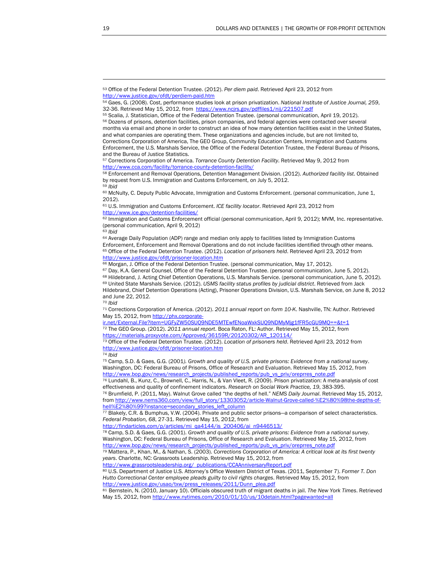<span id="page-20-17"></span><sup>70</sup> *Ibid* 

<span id="page-20-18"></span>71 Corrections Corporation of America. (2012). *2011 annual report on form 10-K*. Nashville, TN: Author. Retrieved May 15, 2012, from [http://phx.corporate-](http://phx.corporate-ir.net/External.File?item=UGFyZW50SUQ9NDE5MTEwfENoaWxkSUQ9NDMyMjg1fFR5cGU9MQ==&t=1)

<span id="page-20-19"></span>[ir.net/External.File?item=UGFyZW50SUQ9NDE5MTEwfENoaWxkSUQ9NDMyMjg1fFR5cGU9MQ==&t=1](http://phx.corporate-ir.net/External.File?item=UGFyZW50SUQ9NDE5MTEwfENoaWxkSUQ9NDMyMjg1fFR5cGU9MQ==&t=1) 72 The GEO Group. (2012). *2011 annual report*. Boca Raton, FL: Author. Retrieved May 15, 2012, from [https://materials.proxyvote.com/Approved/36159R/20120302/AR\\_120114/](https://materials.proxyvote.com/Approved/36159R/20120302/AR_120114/)

<span id="page-20-20"></span>73 Office of the Federal Detention Trustee. (2012). *Location of prisoners held*. Retrieved April 23, 2012 from <http://www.justice.gov/ofdt/prisoner-location.htm>

<span id="page-20-21"></span><sup>74</sup> *Ibid*

<span id="page-20-22"></span>75 Camp, S.D. & Gaes, G.G. (2001*). Growth and quality of U.S. private prisons: Evidence from a national survey*. Washington, DC: Federal Bureau of Prisons, Office of Research and Evaluation. Retrieved May 15, 2012, from [http://www.bop.gov/news/research\\_projects/published\\_reports/pub\\_vs\\_priv/oreprres\\_note.pdf](http://www.bop.gov/news/research_projects/published_reports/pub_vs_priv/oreprres_note.pdf)

<span id="page-20-23"></span>76 Lundahl, B., Kunz, C., Brownell, C., Harris, N., & Van Vleet, R. (2009). Prison privatization: A meta-analysis of cost effectiveness and quality of confinement indicators. Research on Social Work Practice, 19, 383-395. <sup>76</sup> Brumfield, P. (2011, May). Walnut Grove called "the depths of hell." NEMS Daily Journal. Retrieved May 15, 2012,

from [http://www.nems360.com/view/full\\_story/13303052/article-Walnut-Grove-called-%E2%80%98the-depths-of](http://www.nems360.com/view/full_story/13303052/article-Walnut-Grove-called-%E2%80%98the-depths-of-hell%E2%80%99?instance=secondary_stories_left_column)[hell%E2%80%99?instance=secondary\\_stories\\_left\\_column](http://www.nems360.com/view/full_story/13303052/article-Walnut-Grove-called-%E2%80%98the-depths-of-hell%E2%80%99?instance=secondary_stories_left_column)

<span id="page-20-24"></span>77 Blakely, C.R. & Bumphus, V.W. (2004). Private and public sector prisons—a comparison of select characteristics. *Federal Probation, 68*, 27-31. Retrieved May 15, 2012, from

[http://findarticles.com/p/articles/mi\\_qa4144/is\\_200406/ai\\_n9446513/](http://findarticles.com/p/articles/mi_qa4144/is_200406/ai_n9446513/)

<span id="page-20-25"></span>78 Camp, S.D. & Gaes, G.G. (2001). *Growth and quality of U.S. private prisons: Evidence from a national survey*. Washington, DC: Federal Bureau of Prisons, Office of Research and Evaluation. Retrieved May 15, 2012, from [http://www.bop.gov/news/research\\_projects/published\\_reports/pub\\_vs\\_priv/oreprres\\_note.pdf](http://www.bop.gov/news/research_projects/published_reports/pub_vs_priv/oreprres_note.pdf)

<span id="page-20-26"></span>79 Mattera, P., Khan, M., & Nathan, S. (2003). *Corrections Corporation of America: A critical look at its first twenty years*. Charlotte, NC: Grassroots Leadership. Retrieved May 15, 2012, from

[http://www.grassrootsleadership.org/\\_publications/CCAAnniversaryReport.pdf](http://www.grassrootsleadership.org/_publications/CCAAnniversaryReport.pdf)

<span id="page-20-27"></span>80 U.S. Department of Justice U.S. Attorney's Office Western District of Texas. (2011, September 7). *Former T. Don Hutto Correctional Center employee pleads guilty to civil rights charges*. Retrieved May 15, 2012, from [http://www.justice.gov/usao/txw/press\\_releases/2011/Dunn\\_plea.pdf](http://www.justice.gov/usao/txw/press_releases/2011/Dunn_plea.pdf)

<span id="page-20-28"></span><sup>81</sup> Bernstein, N. (2010, January 10). Officials obscured truth of migrant deaths in jail. *The New Y[o](http://www.nytimes.com/2010/01/10/us/10detain.html?pagewanted=all)rk Times*. Retrieved May 15, 2012, from <http://www.nytimes.com/2010/01/10/us/10detain.html?pagewanted=all>

<span id="page-20-0"></span><sup>53</sup> Office of the Federal Detention Trustee. (2012). *Per diem paid*. Retrieved April 23, 2012 from <http://www.justice.gov/ofdt/perdiem-paid.htm>

<span id="page-20-1"></span><sup>54</sup> Gaes, G. (2008). Cost, performance studies look at prison privatization. *National Institute of Justice Journal, 259*, 32-36. Retrieved May 15, 2012, from https://www.ncirs.gov/pdffiles1/nij/221507.pdf<br><sup>55</sup> Scalia, J. Statistician, Office of the Federal Detention Trustee. (personal communication, April 19, 2012).

<span id="page-20-3"></span><span id="page-20-2"></span><sup>56</sup> Dozens of prisons, detention facilities, prison companies, and federal agencies were contacted over several months via email and phone in order to construct an idea of how many detention facilities exist in the United States, and what companies are operating them. These organizations and agencies include, but are not limited to, Corrections Corporation of America, The GEO Group, Community Education Centers, Immigration and Customs Enforcement, the U.S. Marshals Service, the Office of the Federal Detention Trustee, the Federal Bureau of Prisons, and the Bureau of Justice Statistics.

<span id="page-20-4"></span><sup>57</sup> Corrections Corporation of America. *Torrance County Detention Facility*. Retrieved May 9, 2012 from <http://www.cca.com/facility/torrance-county-detention-facility/>

<span id="page-20-5"></span><sup>58</sup> Enforcement and Removal Operations, Detention Management Division. (2012). *Authorized facility list*. Obtained by request from U.S. Immigration and Customs Enforcement, on July 5, 2012. <sup>59</sup> *Ibid* 

<span id="page-20-7"></span><span id="page-20-6"></span><sup>60</sup> McNulty, C. Deputy Public Advocate, Immigration and Customs Enforcement. (personal communication, June 1, 2012).

<span id="page-20-8"></span><sup>61</sup> U.S. Immigration and Customs Enforcement. *ICE facility locator*. Retrieved April 23, 2012 from <http://www.ice.gov/detention-facilities/>

<span id="page-20-9"></span><sup>62</sup> Immigration and Customs Enforcement official (personal communication, April 9, 2012); MVM, Inc. representative. (personal communication, April 9, 2012)

<span id="page-20-10"></span><sup>63</sup> *Ibid*

<span id="page-20-12"></span><span id="page-20-11"></span><sup>64</sup> Average Daily Population (ADP) range and median only apply to facilities listed by Immigration Customs<br>Enforcement, Enforcement and Removal Operations and do not include facilities identified through other means. 65 Office of the Federal Detention Trustee. (2012). Location of prisoners held. Retrieved April 23, 2012 from <http://www.justice.gov/ofdt/prisoner-location.htm>

<sup>66</sup> Morgan, J. Office of the Federal Detention Trustee. (personal communication, May 17, 2012).

<span id="page-20-15"></span><span id="page-20-14"></span><span id="page-20-13"></span><sup>67</sup> Day, K.A. General Counsel, Office of the Federal Detention Trustee. (personal communication, June 5, 2012).

<sup>68</sup> Hildebrand, J. Acting Chief Detention Operations, U.S. Marshals Service. (personal communication, June 5, 2012).<br>69 United State Marshals Service. (2012). USMS facility status profiles by judicial district. Retrieved fr

<span id="page-20-16"></span>Hildebrand, Chief Detention Operations (Acting), Prisoner Operations Division, U.S. Marshals Service, on June 8, 2012 and June 22, 2012.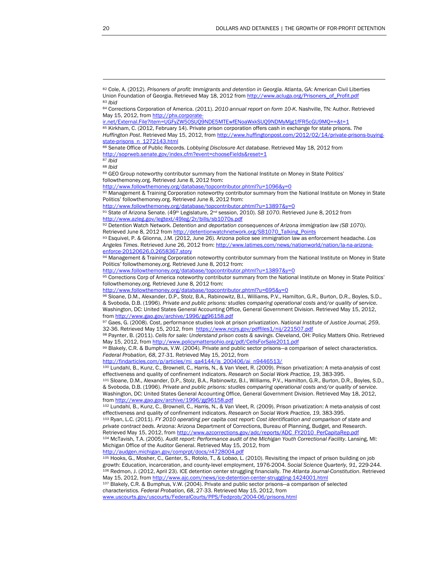<span id="page-21-1"></span><span id="page-21-0"></span>82 Cole, A. (2012). *Prisoners of profit: Immigrants and detention in Georgia*. Atlanta, GA: American Civil Liberties Union Foundation of Georgia. Retrieved May 18, 2012 from [http://www.acluga.org/Prisoners\\_of\\_Profit.pdf](http://www.acluga.org/Prisoners_of_Profit.pdf) <sup>83</sup> *Ibid* 

<span id="page-21-2"></span>84 Corrections Corporation of America. (2011). *2010 annual report on form 10-K*. Nashville, TN: Author. Retrieved Mav 15, 2012, from [http://phx.corporate-](http://phx.corporate-ir.net/External.File?item=UGFyZW50SUQ9NDE5MTEwfENoaWxkSUQ9NDMyMjg1fFR5cGU9MQ==&t=1)

[ir.net/External.File?item=UGFyZW50SUQ9NDE5MTEwfENoaWxkSUQ9NDMyMjg1fFR5cGU9MQ==&t=1](http://phx.corporate-ir.net/External.File?item=UGFyZW50SUQ9NDE5MTEwfENoaWxkSUQ9NDMyMjg1fFR5cGU9MQ==&t=1)

<span id="page-21-3"></span>85 Kirkham, C. (2012, February 14). Private prison corporation offers cash in exchange for state prisons. *The Huffington Post*. Retrieved May [1](http://www.huffingtonpost.com/2012/02/14/private-prisons-buying-state-prisons_n_1272143.html)5, 2012, from [http://www.huffingtonpost.com/2012/02/14/private-prisons-buying](http://www.huffingtonpost.com/2012/02/14/private-prisons-buying-state-prisons_n_1272143.html)[state-prisons\\_n\\_1272143.html](http://www.huffingtonpost.com/2012/02/14/private-prisons-buying-state-prisons_n_1272143.html)

<span id="page-21-4"></span>86 Senate Office of Public Records. *Lobbying Disclosure Act database*. Retrieved May 18, 2012 from <http://soprweb.senate.gov/index.cfm?event=chooseFields&reset=1>

<span id="page-21-5"></span><sup>87</sup> *Ibid* <sup>88</sup> *Ibid* 

<span id="page-21-7"></span><span id="page-21-6"></span>89 GEO Group noteworthy contributor summary from the National Institute on Money in State Politics' followthemoney.org. Retrieved June 8, 2012 from:

<http://www.followthemoney.org/database/topcontributor.phtml?u=1096&y=0>

<span id="page-21-8"></span>90 Management & Training Corporation noteworthy contributor summary from the National Institute on Money in State Politics' followthemoney.org. Retrieved June 8, 2012 from:

<span id="page-21-9"></span><http://www.followthemoney.org/database/topcontributor.phtml?u=13897&y=0>

91 State of Arizona Senate. (49<sup>th</sup> Legislature, 2<sup>nd</sup> session, 2010). *SB 1070*. Retri[ev](http://www.followthemoney.org/database/topcontributor.phtml?u=13897&y=0)ed June 8, 2012 from <http://www.azleg.gov/legtext/49leg/2r/bills/sb1070s.pdf>

<span id="page-21-10"></span>92 Detention Watch Network. *Detention and deportation consequences of Arizona immigration law (SB 1070)*. Retrieved June 8, 2012 from [http://detentionwatchnetwork.org/SB1070\\_Talking\\_Points](http://detentionwatchnetwork.org/SB1070_Talking_Points)

<span id="page-21-11"></span>93 Esquivel, P. & Glionna, J.M. (2012, June 26). Arizona police see immigration law as enforcement headache. *Los Angeles Times*. Retrieved June 26, 2012 from: [http://www.latimes.com/news/nationworld/nation/la-na-arizona](http://www.latimes.com/news/nationworld/nation/la-na-arizona-enforce-20120626,0,2658367.story)[enforce-20120626,0,2658367.story](http://www.latimes.com/news/nationworld/nation/la-na-arizona-enforce-20120626,0,2658367.story)

<span id="page-21-12"></span>94 Management & Training Corporation noteworthy contributor summary from the National Institute on Money in State Politics' followthemoney.org. Retrieved June 8, 2012 from:

<span id="page-21-13"></span><http://www.followthemoney.org/database/topcontributor.phtml?u=13897&y=0>

95 Corrections Corp of America noteworthy contributor summary from the National Institute on Money in State Politics' followthemoney.org. Retrieved June 8, 2012 from:

<http://www.followthemoney.org/database/topcontributor.phtml?u=695&y=0>

<span id="page-21-14"></span>96 Sloane, D.M., Alexander, D.P., Stolz, B.A., Rabinowitz, B.I., Willi[am](http://www.followthemoney.org/database/topcontributor.phtml?u=695&y=0)s, P.V., Hamilton, G.R., Burton, D.R., Boyles, S.D., & Svoboda, D.B. (1996). *Private and public prisons: studies comparing operational costs and/or quality of service*. Washington, DC: United States General Accounting Office, General Government Division. Retrieved May 15, 2012, from <http://www.gao.gov/archive/1996/gg96158.pdf>

<span id="page-21-15"></span>97 Gaes, G. (2008). Cost, performance studies look at prison privatization. *National Institute of Justice Journal, 259*, 32-36. Retrieved May 15, 2012, from https://www.ncirs.gov/pdffiles1/nij/221507.pdf

<span id="page-21-16"></span>98 Paynter, B. (2011). *Cells for sale: Understand prison costs & savings*. Cleveland, OH: Policy Matters Ohio. Retrieved May 15, 2012, from <http://www.policymattersohio.org/pdf/CellsForSale2011.pdf>

<span id="page-21-17"></span>99 Blakely, C.R. & Bumphus, V.W. (2004). Private and public sector prisons—a comparison of select characteristics. *Federal Probation, 68*, 27-31. Retrieved May 15, 2012, from

<span id="page-21-18"></span>.com/p/articles/mi\_qa4144/is\_200406/ai\_n9446513/

100 Lundahl, B., Kunz, C., Brownell, C., Harris, N., & Van Vleet, R. (2009). Prison privatization: A meta-analysis of cost effectiveness and quality of confinement indicators. Research on Social Work Practice, 19, 383-395.<br><sup>101</sup> Sloane, D.M., Alexander, D.P., Stolz, B.A., Rabinowitz, B.I., Williams, P.V., Hamilton, G.R., Burton, D.R., Boyles,

<span id="page-21-19"></span>& Svoboda, D.B. (1996). *Private and public prisons: studies comparing operational costs and/or quality of service*. Washington, DC: United States General Accounting Off[ic](http://www.gao.gov/archive/1996/gg96158.pdf)e, General Government Division. Retrieved May 18, 2012, from <http://www.gao.gov/archive/1996/gg96158.pdf>

<span id="page-21-20"></span>102 Lundahl, B., Kunz, C., Brownell, C., Harris, N., & Van Vleet, R. (2009). Prison privatization: A meta-analysis of cost effectiveness and quality of confinement indicators. Research on Social Work Practice, 19, 383-395.<br><sup>103</sup> Ryan, L.C. (2011). FY 2010 operating per capita cost report: Cost identification and comparison of state and

<span id="page-21-21"></span>*private contract beds*. Arizona: Arizona Department of Corrections, Bureau of Planning, Budget, and Research. Retrieved May 15, 2012, from [http://www.azcorrections.gov/adc/reports/ADC\\_FY2010\\_PerCapitaRep.pdf](http://www.azcorrections.gov/adc/reports/ADC_FY2010_PerCapitaRep.pdf) 104 McTavish, T.A. (2005). *Audit report: Performance audit of the Michigan Youth Correctional Facility*. Lansing, MI: Michigan Office of the Auditor General. Retrieved May 15, 2012, from

<span id="page-21-22"></span>http://audgen.michigan.gov/comprpt/docs/r4728004.pd

<span id="page-21-23"></span>105 Hooks, G., Mosher, C., Genter, S., Rotolo, T., & Lobao, L. (2010). Revisiting the impact of prison building on job growth: Education, incarceration, and county-level employment, 1976-2004. Social Science Quarterly, 91, 229-244.<br><sup>106</sup> Redmon, J. (2012, April 23). ICE detention center struggling financially. The Atlanta Journal-Constitut May 15, 2012, from <http://www.ajc.com/news/ice-detention-center-struggling-1424001.html>

<span id="page-21-24"></span>107 Blakely, C.R. & Bumphus, V.W. (2004). Private and public sector prisons—a comparison of selected characteristics. *Federal Probation, 68*, 27-33. Retrieved May 15, 2012, from

<span id="page-21-25"></span>[www.uscourts.gov/uscourts/FederalCourts/PPS/Fedprob/2004-06/prisons.html](http://www.uscourts.gov/uscourts/FederalCourts/PPS/Fedprob/2004-06/prisons.html)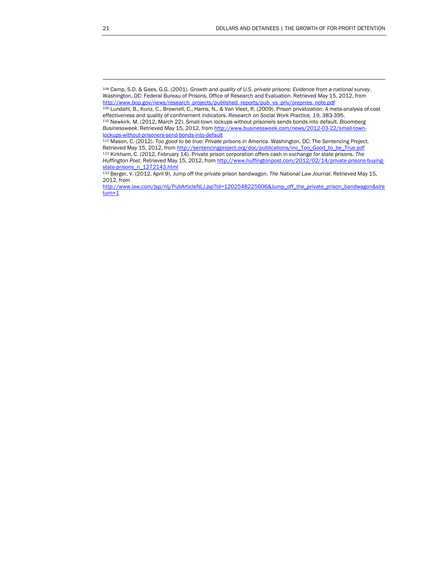<span id="page-22-0"></span><sup>108</sup> Camp, S.D. & Gaes, G.G. (2001). *Growth and quality of U.S. private prisons: Evidence from a national survey*. Washington, DC: Federal Bureau of Prisons, Office of Research and Evaluation. Retrieved May 1[5,](http://www.bop.gov/news/research_projects/published_reports/pub_vs_priv/oreprres_note.pdf) 2012, from [http://www.bop.gov/news/research\\_projects/published\\_reports/pub\\_vs\\_priv/oreprres\\_note.pdf](http://www.bop.gov/news/research_projects/published_reports/pub_vs_priv/oreprres_note.pdf)

<span id="page-22-1"></span><sup>109</sup> Lundahl, B., Kunz, C., Brownell, C., Harris, N., & Van Vleet, R. (2009). Prison privatization: A meta-analysis of cost effectiveness and quality of confinement indicators. *Research on Social Work Practice, 19*, 383-395. 110 Newkirk, M. (2012, March 22). Small-town lockups without prisoners sends bonds into default. *Bloomberg* 

<span id="page-22-2"></span>*Businessweek*. Retrieved May 15, 2012, from [http://www.businessweek.com/news/2012-03-22/small-town](http://www.businessweek.com/news/2012-03-22/small-town-lockups-without-prisoners-send-bonds-into-default)[lockups-without-prisoners-send-bonds-into-default](http://www.businessweek.com/news/2012-03-22/small-town-lockups-without-prisoners-send-bonds-into-default)

<span id="page-22-4"></span><span id="page-22-3"></span><sup>111</sup> Mason, C. (2012). *Too good to be true: Private prisons in America*. Washington, DC: The Sentencing Project. Retrieved May 15, 2012, from [http://sentencingproject.org/doc/publications/inc\\_Too\\_Good\\_to\\_be\\_True.pdf](http://sentencingproject.org/doc/publications/inc_Too_Good_to_be_True.pdf) 112 Kirkham, C. (2012, February 14). Private prison corporation offers cash in exchange for state prisons. *The Huffington Post*. Retrieved May 15, 2012, from [http://www.huffingtonpost.com/2012/02/14/private-prisons-buying](http://www.huffingtonpost.com/2012/02/14/private-prisons-buying-state-prisons_n_1272143.html)[state-prisons\\_n\\_1272143.html](http://www.huffingtonpost.com/2012/02/14/private-prisons-buying-state-prisons_n_1272143.html)

<span id="page-22-5"></span><sup>113</sup> Berger, V. (2012, April 9). Jump off the private prison bandwagon. *The National Law Journal*. Retrieved May 15, 2012, from

[http://www.law.com/jsp/nlj/PubArticleNLJ.jsp?id=1202548225606&Jump\\_off\\_the\\_private\\_prison\\_bandwagon&slre](http://www.law.com/jsp/nlj/PubArticleNLJ.jsp?id=1202548225606&Jump_off_the_private_prison_bandwagon&slreturn=1)  $turn=1$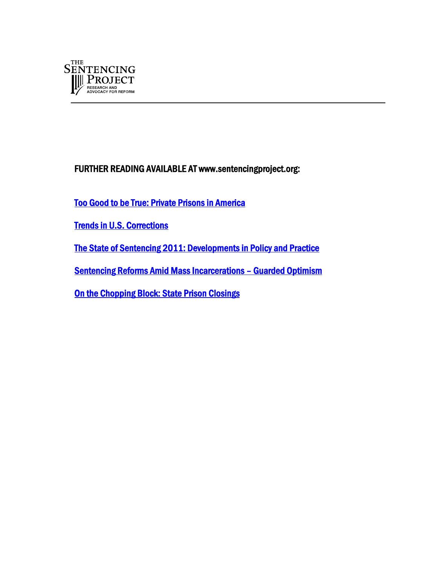

FURTHER READING AVAILABLE AT www.sentencingproject.org:

[Too Good to be True: Private Prisons in America](http://sentencingproject.org/doc/publications/inc_Too_Good_to_be_True.pdf) 

[Trends in U.S. Corrections](http://sentencingproject.org/doc/publications/inc_Trends_in_Corrections_Fact_sheet.pdf) 

[The State of Sentencing 2011: Developments in Policy and Practice](http://sentencingproject.org/doc/publications/publications/sen_State_of_Sentencing_2011.pdf) 

[Sentencing Reforms Amid Mass Incarcerations – Guarded Optimism](http://sentencingproject.org/doc/publications/s_ABACJsentencing2011.pdf) 

[On the Chopping Block: State Prison Closings](http://sentencingproject.org/doc/publications/On_the_chopping_block_-_state_prison_closings_(2).pdf)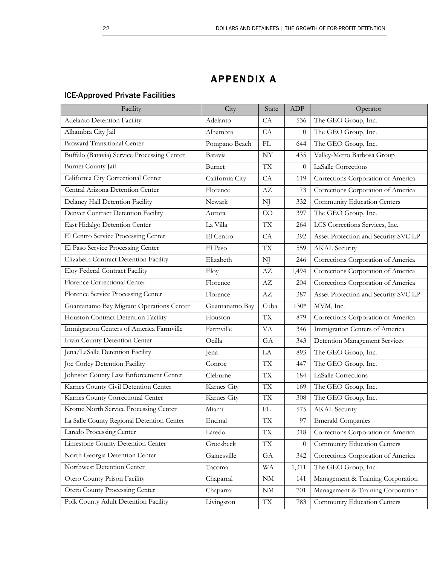# APPENDIX A

### ICE-Approved Private Facilities

| Facility                                    | City            | State                    | ADP      | Operator                             |
|---------------------------------------------|-----------------|--------------------------|----------|--------------------------------------|
| Adelanto Detention Facility                 | Adelanto        | CA                       | 536      | The GEO Group, Inc.                  |
| Alhambra City Jail                          | Alhambra        | CA                       | $\theta$ | The GEO Group, Inc.                  |
| <b>Broward Transitional Center</b>          | Pompano Beach   | FL                       | 644      | The GEO Group, Inc.                  |
| Buffalo (Batavia) Service Processing Center | Batavia         | NY                       | 435      | Valley-Metro Barbosa Group           |
| Burnet County Jail                          | Burnet          | <b>TX</b>                | $\theta$ | LaSalle Corrections                  |
| California City Correctional Center         | California City | CA                       | 119      | Corrections Corporation of America   |
| Central Arizona Detention Center            | Florence        | AZ                       | 73       | Corrections Corporation of America   |
| Delaney Hall Detention Facility             | Newark          | NJ                       | 332      | <b>Community Education Centers</b>   |
| Denver Contract Detention Facility          | Aurora          | CO                       | 397      | The GEO Group, Inc.                  |
| East Hidalgo Detention Center               | La Villa        | $\mathcal{T}\mathcal{X}$ | 264      | LCS Corrections Services, Inc.       |
| El Centro Service Processing Center         | El Centro       | CA                       | 392      | Asset Protection and Security SVC LP |
| El Paso Service Processing Center           | El Paso         | <b>TX</b>                | 559      | <b>AKAL</b> Security                 |
| Elizabeth Contract Detention Facility       | Elizabeth       | NJ                       | 246      | Corrections Corporation of America   |
| Eloy Federal Contract Facility              | Eloy            | $\mathbf{A}\mathbf{Z}$   | 1,494    | Corrections Corporation of America   |
| Florence Correctional Center                | Florence        | AZ                       | 204      | Corrections Corporation of America   |
| Florence Service Processing Center          | Florence        | AZ                       | 387      | Asset Protection and Security SVC LP |
| Guantanamo Bay Migrant Operations Center    | Guantanamo Bay  | Cuba                     | $130*$   | MVM, Inc.                            |
| Houston Contract Detention Facility         | Houston         | <b>TX</b>                | 879      | Corrections Corporation of America   |
| Immigration Centers of America Farmville    | Farmville       | VA                       | 346      | Immigration Centers of America       |
| Irwin County Detention Center               | Ocilla          | GA                       | 343      | Detention Management Services        |
| Jena/LaSalle Detention Facility             | Jena            | LA                       | 893      | The GEO Group, Inc.                  |
| Joe Corley Detention Facility               | Conroe          | <b>TX</b>                | 447      | The GEO Group, Inc.                  |
| Johnson County Law Enforcement Center       | Cleburne        | <b>TX</b>                | 184      | LaSalle Corrections                  |
| Karnes County Civil Detention Center        | Karnes City     | <b>TX</b>                | 169      | The GEO Group, Inc.                  |
| Karnes County Correctional Center           | Karnes City     | <b>TX</b>                | 308      | The GEO Group, Inc.                  |
| Krome North Service Processing Center       | Miami           | FL                       | 575      | <b>AKAL</b> Security                 |
| La Salle County Regional Detention Center   | Encinal         | $\mathcal{T}\mathcal{X}$ | 97       | <b>Emerald Companies</b>             |
| Laredo Processing Center                    | Laredo          | $\mathcal{T}\mathcal{X}$ | 318      | Corrections Corporation of America   |
| Limestone County Detention Center           | Groesbeck       | $\mathcal{T}\mathcal{X}$ | $\theta$ | Community Education Centers          |
| North Georgia Detention Center              | Gainesville     | GA                       | 342      | Corrections Corporation of America   |
| Northwest Detention Center                  | Tacoma          | <b>WA</b>                | 1,311    | The GEO Group, Inc.                  |
| Otero County Prison Facility                | Chaparral       | NM                       | 141      | Management & Training Corporation    |
| Otero County Processing Center              | Chaparral       | $\mathrm{NM}$            | 701      | Management & Training Corporation    |
| Polk County Adult Detention Facility        | Livingston      | $\mathcal{T}\mathcal{X}$ | 783      | Community Education Centers          |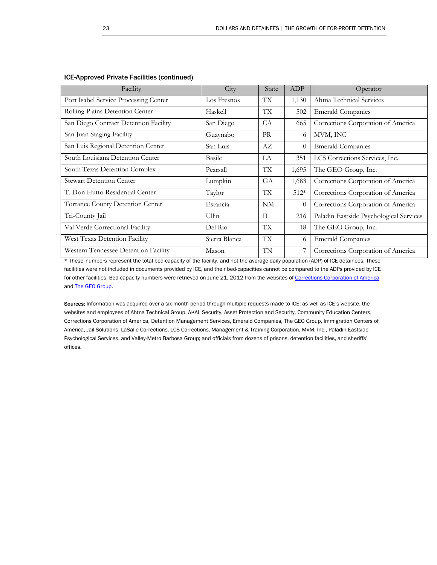| Facility                              | City          | State           | ADP      | Operator                                |
|---------------------------------------|---------------|-----------------|----------|-----------------------------------------|
| Port Isabel Service Processing Center | Los Fresnos   | ТX              | 1,130    | Ahtna Technical Services                |
| Rolling Plains Detention Center       | Haskell       | <b>TX</b>       | 502      | <b>Emerald Companies</b>                |
| San Diego Contract Detention Facility | San Diego     | CA              | 665      | Corrections Corporation of America      |
| San Juan Staging Facility             | Guaynabo      | <b>PR</b>       | 6        | MVM, INC                                |
| San Luis Regional Detention Center    | San Luis      | AZ              | $\theta$ | <b>Emerald Companies</b>                |
| South Louisiana Detention Center      | <b>Basile</b> | LA              | 351      | LCS Corrections Services, Inc.          |
| South Texas Detention Complex         | Pearsall      | <b>TX</b>       | 1,695    | The GEO Group, Inc.                     |
| <b>Stewart Detention Center</b>       | Lumpkin       | <b>GA</b>       | 1,683    | Corrections Corporation of America      |
| T. Don Hutto Residential Center       | Taylor        | <b>TX</b>       | $512*$   | Corrections Corporation of America      |
| Torrance County Detention Center      | Estancia      | NM              | $\Omega$ | Corrections Corporation of America      |
| Tri-County Jail                       | Ullin         | IL              | 216      | Paladin Eastside Psychological Services |
| Val Verde Correctional Facility       | Del Rio       | TX <sup>-</sup> | 18       | The GEO Group, Inc.                     |
| West Texas Detention Facility         | Sierra Blanca | <b>TX</b>       | 6        | <b>Emerald Companies</b>                |
| Western Tennessee Detention Facility  | Mason         | TN              | 7        | Corrections Corporation of America      |

#### ICE-Approved Private Facilities (continued)

\* These numbers represent the total bed-capacity of the facility, and not the average daily population (ADP) of ICE detainees. These facilities were not included in documents provided by ICE, and their bed-capacities cannot be compared to the ADPs provided by ICE for other facilities. Bed-capacity numbers were retrieved on June 21, 2012 from the websites of [Corrections Corporation of America](http://www.cca.com/facilities/) and [The GEO Group](http://www.geogroup.com/2011-report.pdf).

Sources: Information was acquired over a six-month period through multiple requests made to ICE; as well as ICE's website, the websites and employees of Ahtna Technical Group, AKAL Security, Asset Protection and Security, Community Education Centers, Corrections Corporation of America, Detention Management Services, Emerald Companies, The GEO Group, Immigration Centers of America, Jail Solutions, LaSalle Corrections, LCS Corrections, Management & Training Corporation, MVM, Inc., Paladin Eastside Psychological Services, and Valley-Metro Barbosa Group; and officials from dozens of prisons, detention facilities, and sheriffs' offices.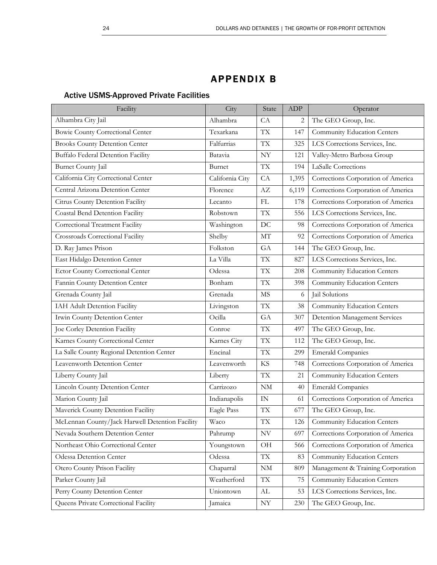## APPENDIX B

### Active USMS-Approved Private Facilities

| Facility                                        | City            | State                    | ADP   | Operator                           |
|-------------------------------------------------|-----------------|--------------------------|-------|------------------------------------|
| Alhambra City Jail                              | Alhambra        | CA                       | 2     | The GEO Group, Inc.                |
| Bowie County Correctional Center                | Texarkana       | <b>TX</b>                | 147   | Community Education Centers        |
| <b>Brooks County Detention Center</b>           | Falfurrias      | TX                       | 325   | LCS Corrections Services, Inc.     |
| <b>Buffalo Federal Detention Facility</b>       | Batavia         | $\ensuremath{\text{NY}}$ | 121   | Valley-Metro Barbosa Group         |
| <b>Burnet County Jail</b>                       | Burnet          | <b>TX</b>                | 194   | LaSalle Corrections                |
| California City Correctional Center             | California City | CA                       | 1,395 | Corrections Corporation of America |
| Central Arizona Detention Center                | Florence        | AZ                       | 6,119 | Corrections Corporation of America |
| Citrus County Detention Facility                | Lecanto         | FL                       | 178   | Corrections Corporation of America |
| Coastal Bend Detention Facility                 | Robstown        | <b>TX</b>                | 556   | LCS Corrections Services, Inc.     |
| Correctional Treatment Facility                 | Washington      | DC                       | 98    | Corrections Corporation of America |
| Crossroads Correctional Facility                | Shelby          | MT                       | 92    | Corrections Corporation of America |
| D. Ray James Prison                             | Folkston        | GA                       | 144   | The GEO Group, Inc.                |
| East Hidalgo Detention Center                   | La Villa        | TX                       | 827   | LCS Corrections Services, Inc.     |
| Ector County Correctional Center                | Odessa          | <b>TX</b>                | 208   | Community Education Centers        |
| Fannin County Detention Center                  | Bonham          | TX                       | 398   | Community Education Centers        |
| Grenada County Jail                             | Grenada         | MS                       | 6     | Jail Solutions                     |
| IAH Adult Detention Facility                    | Livingston      | <b>TX</b>                | 38    | Community Education Centers        |
| Irwin County Detention Center                   | Ocilla          | GA                       | 307   | Detention Management Services      |
| Joe Corley Detention Facility                   | Conroe          | <b>TX</b>                | 497   | The GEO Group, Inc.                |
| Karnes County Correctional Center               | Karnes City     | <b>TX</b>                | 112   | The GEO Group, Inc.                |
| La Salle County Regional Detention Center       | Encinal         | <b>TX</b>                | 299   | <b>Emerald Companies</b>           |
| Leavenworth Detention Center                    | Leavenworth     | <b>KS</b>                | 748   | Corrections Corporation of America |
| Liberty County Jail                             | Liberty         | TX                       | 21    | Community Education Centers        |
| Lincoln County Detention Center                 | Carrizozo       | NM                       | 40    | <b>Emerald Companies</b>           |
| Marion County Jail                              | Indianapolis    | $\ensuremath{\text{IN}}$ | 61    | Corrections Corporation of America |
| Maverick County Detention Facility              | Eagle Pass      | TX                       | 677   | The GEO Group, Inc.                |
| McLennan County/Jack Harwell Detention Facility | Waco            | TX                       | 126   | Community Education Centers        |
| Nevada Southern Detention Center                | Pahrump         | $\ensuremath{\text{NV}}$ | 697   | Corrections Corporation of America |
| Northeast Ohio Correctional Center              | Youngstown      | OH                       | 566   | Corrections Corporation of America |
| Odessa Detention Center                         | Odessa          | TX                       | 83    | Community Education Centers        |
| Otero County Prison Facility                    | Chaparral       | $\rm{NM}$                | 809   | Management & Training Corporation  |
| Parker County Jail                              | Weatherford     | TX                       | 75    | Community Education Centers        |
| Perry County Detention Center                   | Uniontown       | AL                       | 53    | LCS Corrections Services, Inc.     |
| Queens Private Correctional Facility            | Jamaica         | $\ensuremath{\text{NY}}$ | 230   | The GEO Group, Inc.                |